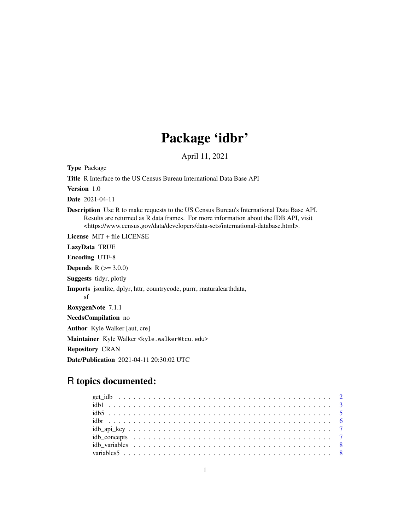# Package 'idbr'

April 11, 2021

Type Package Title R Interface to the US Census Bureau International Data Base API Version 1.0 Date 2021-04-11 Description Use R to make requests to the US Census Bureau's International Data Base API. Results are returned as R data frames. For more information about the IDB API, visit <https://www.census.gov/data/developers/data-sets/international-database.html>. License MIT + file LICENSE LazyData TRUE Encoding UTF-8 **Depends** R  $(>= 3.0.0)$ Suggests tidyr, plotly Imports jsonlite, dplyr, httr, countrycode, purrr, rnaturalearthdata, sf RoxygenNote 7.1.1 NeedsCompilation no Author Kyle Walker [aut, cre] Maintainer Kyle Walker <kyle.walker@tcu.edu> Repository CRAN Date/Publication 2021-04-11 20:30:02 UTC

# R topics documented: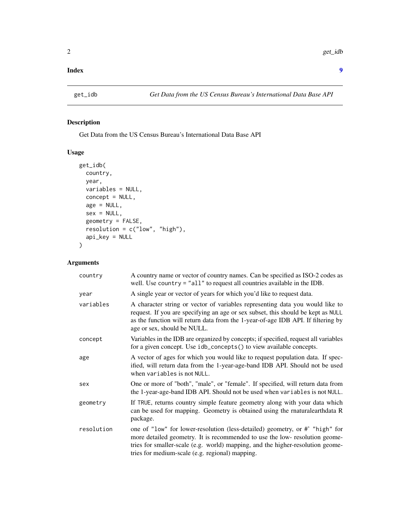#### <span id="page-1-0"></span>**Index** [9](#page-8-0)

# Description

Get Data from the US Census Bureau's International Data Base API

#### Usage

```
get_idb(
 country,
 year,
 variables = NULL,
 concept = NULL,
  age = NULL,sex = NULL,geometry = FALSE,
 resolution = c("low", "high"),
 api_key = NULL
)
```
# Arguments

| country    | A country name or vector of country names. Can be specified as ISO-2 codes as<br>well. Use country $=$ "all" to request all countries available in the IDB.                                                                                                                                     |
|------------|-------------------------------------------------------------------------------------------------------------------------------------------------------------------------------------------------------------------------------------------------------------------------------------------------|
| year       | A single year or vector of years for which you'd like to request data.                                                                                                                                                                                                                          |
| variables  | A character string or vector of variables representing data you would like to<br>request. If you are specifying an age or sex subset, this should be kept as NULL<br>as the function will return data from the 1-year-of-age IDB API. If filtering by<br>age or sex, should be NULL.            |
| concept    | Variables in the IDB are organized by concepts; if specified, request all variables<br>for a given concept. Use idb_concepts() to view available concepts.                                                                                                                                      |
| age        | A vector of ages for which you would like to request population data. If spec-<br>ified, will return data from the 1-year-age-band IDB API. Should not be used<br>when variables is not NULL.                                                                                                   |
| sex        | One or more of "both", "male", or "female". If specified, will return data from<br>the 1-year-age-band IDB API. Should not be used when variables is not NULL.                                                                                                                                  |
| geometry   | If TRUE, returns country simple feature geometry along with your data which<br>can be used for mapping. Geometry is obtained using the rnatural earthdata R<br>package.                                                                                                                         |
| resolution | one of "low" for lower-resolution (less-detailed) geometry, or #" "high" for<br>more detailed geometry. It is recommended to use the low-resolution geome-<br>tries for smaller-scale (e.g. world) mapping, and the higher-resolution geome-<br>tries for medium-scale (e.g. regional) mapping. |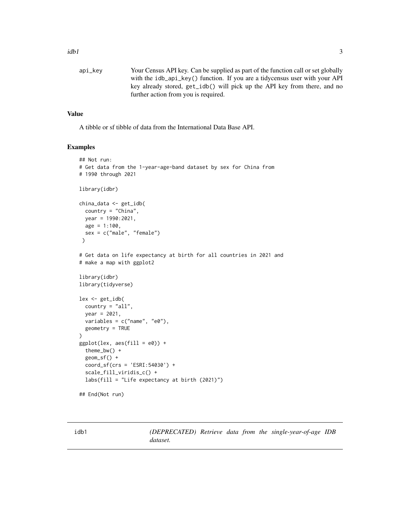```
api_key Your Census API key. Can be supplied as part of the function call or set globally
                  with the idb_api_key() function. If you are a tidycensus user with your API
                  key already stored, get_idb() will pick up the API key from there, and no
                  further action from you is required.
```
#### Value

A tibble or sf tibble of data from the International Data Base API.

#### Examples

```
## Not run:
# Get data from the 1-year-age-band dataset by sex for China from
# 1990 through 2021
library(idbr)
china_data <- get_idb(
  country = "China",
  year = 1990:2021,
  age = 1:100,sex = c("male", "female")
 )
# Get data on life expectancy at birth for all countries in 2021 and
# make a map with ggplot2
library(idbr)
library(tidyverse)
lex <- get_idb(
  country = "all",year = 2021,
  variables = c("name", "e0"),geometry = TRUE
)
ggplot(lex, aes(fill = e0)) +theme_bw() +
  geom_sf() +
  coord_sf(crs = 'ESRI:54030') +
  scale_fill_viridis_c() +
  labs(fill = "Life expectancy at birth (2021)")
## End(Not run)
```
idb1 *(DEPRECATED) Retrieve data from the single-year-of-age IDB dataset.*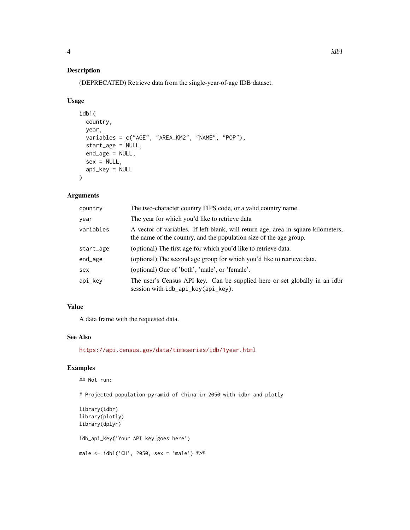# Description

(DEPRECATED) Retrieve data from the single-year-of-age IDB dataset.

#### Usage

```
idb1(
  country,
 year,
 variables = c("AGE", "AREA_KM2", "NAME", "POP"),
 start_age = NULL,
 end_age = NULL,
 sex = NULL,api_key = NULL
\mathcal{L}
```
# Arguments

| country   | The two-character country FIPS code, or a valid country name.                                                                                           |  |
|-----------|---------------------------------------------------------------------------------------------------------------------------------------------------------|--|
| year      | The year for which you'd like to retrieve data                                                                                                          |  |
| variables | A vector of variables. If left blank, will return age, area in square kilometers,<br>the name of the country, and the population size of the age group. |  |
| start_age | (optional) The first age for which you'd like to retrieve data.                                                                                         |  |
| end_age   | (optional) The second age group for which you'd like to retrieve data.                                                                                  |  |
| sex       | (optional) One of 'both', 'male', or 'female'.                                                                                                          |  |
| api_key   | The user's Census API key. Can be supplied here or set globally in an idbr<br>session with idb_api_key(api_key).                                        |  |

#### Value

A data frame with the requested data.

# See Also

<https://api.census.gov/data/timeseries/idb/1year.html>

# Examples

## Not run:

# Projected population pyramid of China in 2050 with idbr and plotly

```
library(idbr)
library(plotly)
library(dplyr)
idb_api_key('Your API key goes here')
male <- idb1('CH', 2050, sex = 'male') %>%
```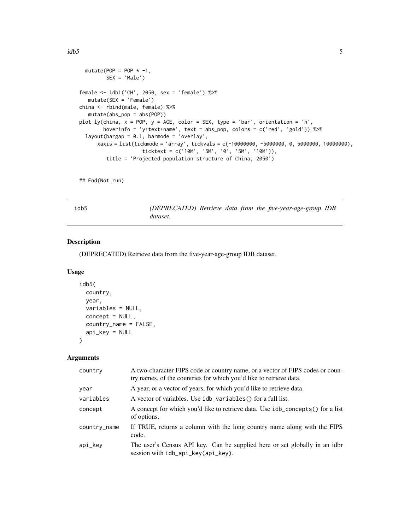```
mutate(POP = POP * -1,
        SEX = 'Male')
female <- idb1('CH', 2050, sex = 'female') %>%
  mutate(SEX = 'Female')
china <- rbind(male, female) %>%
  mutate(abs_pop = abs(POP))
plot_ly(china, x = POP, y = AGE, color = SEX, type = 'bar', orientation = 'h',
       hoverinfo = 'y+text+name', text = abs_pop, colors = c('red', 'gold')) %>%
 layout(bargap = 0.1, barmode = 'overlay',
     xaxis = list(tickmode = 'array', tickvals = c(-10000000, -5000000, 0, 5000000, 10000000),
                     ticktext = c('10M', '5M', '0', '5M', '10M')),
```

```
title = 'Projected population structure of China, 2050')
```
## End(Not run)

idb5 *(DEPRECATED) Retrieve data from the five-year-age-group IDB dataset.*

#### Description

(DEPRECATED) Retrieve data from the five-year-age-group IDB dataset.

#### Usage

```
idb5(
  country,
 year,
 variables = NULL,
 concept = NULL,country_name = FALSE,
 api_key = NULL
)
```
#### Arguments

| country      | A two-character FIPS code or country name, or a vector of FIPS codes or coun-<br>try names, of the countries for which you'd like to retrieve data. |
|--------------|-----------------------------------------------------------------------------------------------------------------------------------------------------|
| year         | A year, or a vector of years, for which you'd like to retrieve data.                                                                                |
| variables    | A vector of variables. Use idb_variables() for a full list.                                                                                         |
| concept      | A concept for which you'd like to retrieve data. Use idb_concepts() for a list<br>of options.                                                       |
| country_name | If TRUE, returns a column with the long country name along with the FIPS<br>code.                                                                   |
| api_key      | The user's Census API key. Can be supplied here or set globally in an idbr<br>session with idb_api_key(api_key).                                    |

<span id="page-4-0"></span> $idb5$  5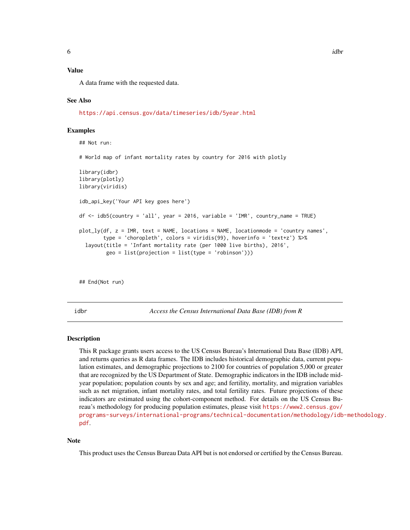#### <span id="page-5-0"></span>Value

A data frame with the requested data.

#### See Also

<https://api.census.gov/data/timeseries/idb/5year.html>

#### Examples

```
## Not run:
# World map of infant mortality rates by country for 2016 with plotly
library(idbr)
library(plotly)
library(viridis)
idb_api_key('Your API key goes here')
df \le idb5(country = 'all', year = 2016, variable = 'IMR', country_name = TRUE)
plot_ly(df, z = IMR, text = NAME, locations = NAME, locationmode = 'country names',
        type = 'choropleth', colors = viridis(99), hoverinfo = 'text+z') %>%
 layout(title = 'Infant mortality rate (per 1000 live births), 2016',
         geo = list(projection = list(type = 'robinson')))
```
## End(Not run)

idbr *Access the Census International Data Base (IDB) from R*

#### Description

This R package grants users access to the US Census Bureau's International Data Base (IDB) API, and returns queries as R data frames. The IDB includes historical demographic data, current population estimates, and demographic projections to 2100 for countries of population 5,000 or greater that are recognized by the US Department of State. Demographic indicators in the IDB include midyear population; population counts by sex and age; and fertility, mortality, and migration variables such as net migration, infant mortality rates, and total fertility rates. Future projections of these indicators are estimated using the cohort-component method. For details on the US Census Bureau's methodology for producing population estimates, please visit [https://www2.census.gov/](https://www2.census.gov/programs-surveys/international-programs/technical-documentation/methodology/idb-methodology.pdf) [programs-surveys/international-programs/technical-documentation/methodology/idb](https://www2.census.gov/programs-surveys/international-programs/technical-documentation/methodology/idb-methodology.pdf)-methodology. [pdf](https://www2.census.gov/programs-surveys/international-programs/technical-documentation/methodology/idb-methodology.pdf).

#### **Note**

This product uses the Census Bureau Data API but is not endorsed or certified by the Census Bureau.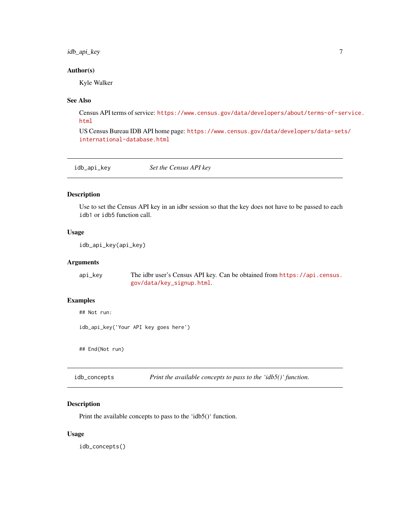#### <span id="page-6-0"></span>idb\_api\_key 7

#### Author(s)

Kyle Walker

#### See Also

Census API terms of service: [https://www.census.gov/data/developers/about/terms-of-se](https://www.census.gov/data/developers/about/terms-of-service.html)rvice. [html](https://www.census.gov/data/developers/about/terms-of-service.html)

US Census Bureau IDB API home page: [https://www.census.gov/data/developers/data-set](https://www.census.gov/data/developers/data-sets/international-database.html)s/ [international-database.html](https://www.census.gov/data/developers/data-sets/international-database.html)

| idb_api_key | Set the Census API key |  |
|-------------|------------------------|--|
|-------------|------------------------|--|

#### Description

Use to set the Census API key in an idbr session so that the key does not have to be passed to each idb1 or idb5 function call.

# Usage

idb\_api\_key(api\_key)

#### Arguments

api\_key The idbr user's Census API key. Can be obtained from [https://api.census.](https://api.census.gov/data/key_signup.html) [gov/data/key\\_signup.html](https://api.census.gov/data/key_signup.html).

#### Examples

## Not run:

idb\_api\_key('Your API key goes here')

## End(Not run)

idb\_concepts *Print the available concepts to pass to the 'idb5()' function.*

#### Description

Print the available concepts to pass to the 'idb5()' function.

#### Usage

idb\_concepts()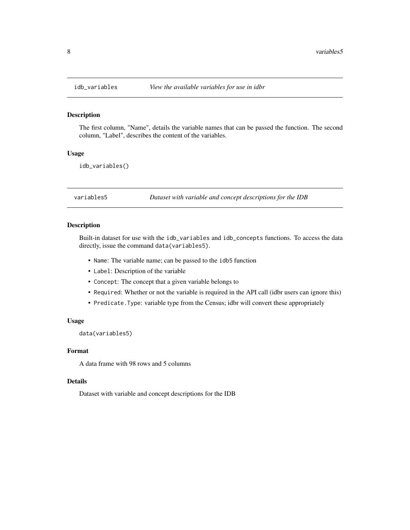#### Description

The first column, "Name", details the variable names that can be passed the function. The second column, "Label", describes the content of the variables.

#### Usage

idb\_variables()

variables5 *Dataset with variable and concept descriptions for the IDB*

#### Description

Built-in dataset for use with the idb\_variables and idb\_concepts functions. To access the data directly, issue the command data(variables5).

- Name: The variable name; can be passed to the idb5 function
- Label: Description of the variable
- Concept: The concept that a given variable belongs to
- Required: Whether or not the variable is required in the API call (idbr users can ignore this)
- Predicate.Type: variable type from the Census; idbr will convert these appropriately

#### Usage

data(variables5)

#### Format

A data frame with 98 rows and 5 columns

#### Details

Dataset with variable and concept descriptions for the IDB